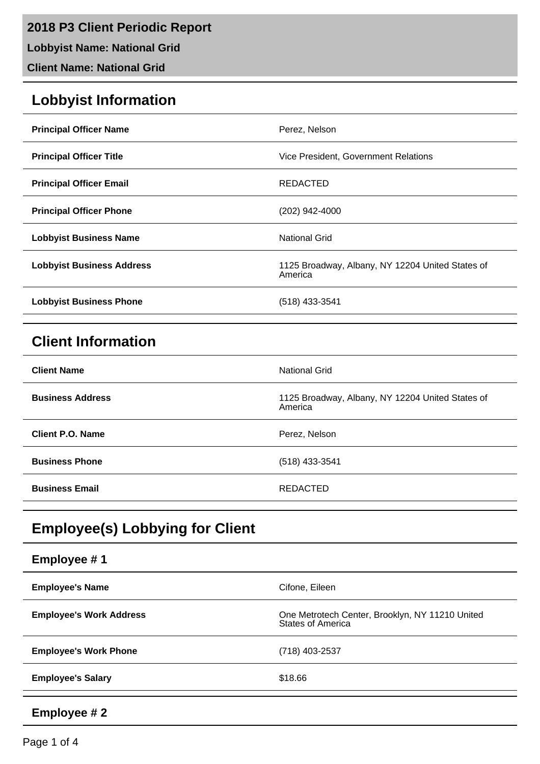**2018 P3 Client Periodic Report**

**Lobbyist Name: National Grid**

**Client Name: National Grid**

# **Lobbyist Information**

| <b>Principal Officer Name</b>    | Perez, Nelson                                               |
|----------------------------------|-------------------------------------------------------------|
| <b>Principal Officer Title</b>   | Vice President, Government Relations                        |
| <b>Principal Officer Email</b>   | REDACTED                                                    |
| <b>Principal Officer Phone</b>   | (202) 942-4000                                              |
| <b>Lobbyist Business Name</b>    | National Grid                                               |
| <b>Lobbyist Business Address</b> | 1125 Broadway, Albany, NY 12204 United States of<br>America |
| <b>Lobbyist Business Phone</b>   | $(518)$ 433-3541                                            |

# **Client Information**

| <b>Client Name</b>      | <b>National Grid</b>                                        |
|-------------------------|-------------------------------------------------------------|
| <b>Business Address</b> | 1125 Broadway, Albany, NY 12204 United States of<br>America |
| <b>Client P.O. Name</b> | Perez, Nelson                                               |
| <b>Business Phone</b>   | $(518)$ 433-3541                                            |
| <b>Business Email</b>   | REDACTED                                                    |

# **Employee(s) Lobbying for Client**

| Employee #1                    |                                                                             |
|--------------------------------|-----------------------------------------------------------------------------|
| <b>Employee's Name</b>         | Cifone, Eileen                                                              |
| <b>Employee's Work Address</b> | One Metrotech Center, Brooklyn, NY 11210 United<br><b>States of America</b> |
| <b>Employee's Work Phone</b>   | (718) 403-2537                                                              |
| <b>Employee's Salary</b>       | \$18.66                                                                     |
| Employee #2                    |                                                                             |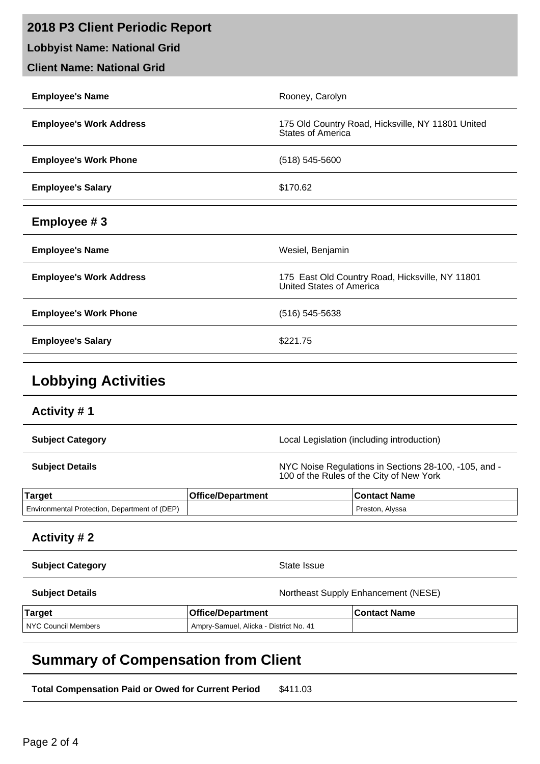| 2018 P3 Client Periodic Report      |                          |                                                                                                   |
|-------------------------------------|--------------------------|---------------------------------------------------------------------------------------------------|
| <b>Lobbyist Name: National Grid</b> |                          |                                                                                                   |
| <b>Client Name: National Grid</b>   |                          |                                                                                                   |
| <b>Employee's Name</b>              |                          | Rooney, Carolyn                                                                                   |
| <b>Employee's Work Address</b>      |                          | 175 Old Country Road, Hicksville, NY 11801 United<br>States of America                            |
| <b>Employee's Work Phone</b>        |                          | $(518) 545 - 5600$                                                                                |
| <b>Employee's Salary</b>            |                          | \$170.62                                                                                          |
| Employee #3                         |                          |                                                                                                   |
| <b>Employee's Name</b>              |                          | Wesiel, Benjamin                                                                                  |
| <b>Employee's Work Address</b>      |                          | 175 East Old Country Road, Hicksville, NY 11801<br>United States of America                       |
| <b>Employee's Work Phone</b>        |                          | $(516) 545 - 5638$                                                                                |
| <b>Employee's Salary</b>            |                          | \$221.75                                                                                          |
| <b>Lobbying Activities</b>          |                          |                                                                                                   |
| <b>Activity #1</b>                  |                          |                                                                                                   |
| <b>Subject Category</b>             |                          | Local Legislation (including introduction)                                                        |
| <b>Subject Details</b>              |                          | NYC Noise Regulations in Sections 28-100, -105, and -<br>100 of the Rules of the City of New York |
| <b>Target</b>                       | <b>Office/Department</b> | <b>Contact Name</b>                                                                               |

#### **Activity # 2**

| <b>Subject Category</b> | State Issue |
|-------------------------|-------------|
|                         |             |

Environmental Protection, Department of (DEP) example and the state of the preston, Alyssa

**Subject Details Subject Details Northeast Supply Enhancement (NESE)** 

| Target              | <b>Office/Department</b>                            | <b>Contact Name</b> |
|---------------------|-----------------------------------------------------|---------------------|
| NYC Council Members | <sup>1</sup> Ampry-Samuel, Alicka - District No. 41 |                     |

# **Summary of Compensation from Client**

**Total Compensation Paid or Owed for Current Period** \$411.03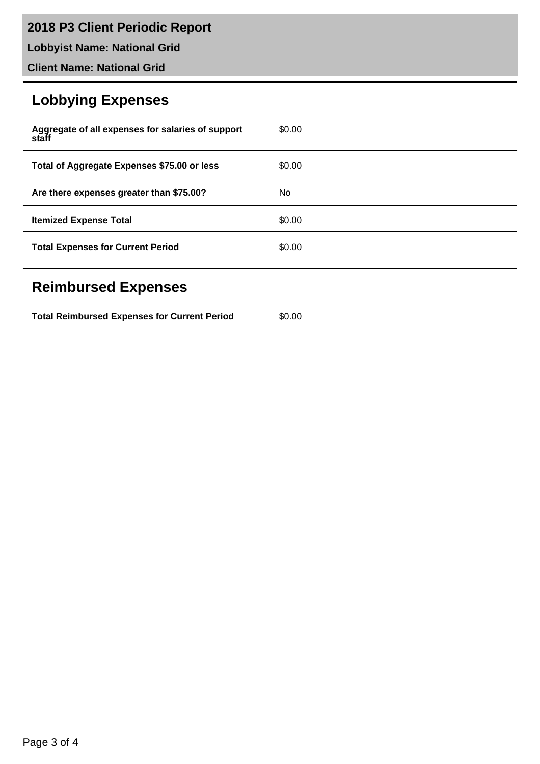# **2018 P3 Client Periodic Report**

**Lobbyist Name: National Grid**

**Client Name: National Grid**

# **Lobbying Expenses**

| Aggregate of all expenses for salaries of support<br>staff | \$0.00 |
|------------------------------------------------------------|--------|
| Total of Aggregate Expenses \$75.00 or less                | \$0.00 |
| Are there expenses greater than \$75.00?                   | No.    |
| <b>Itemized Expense Total</b>                              | \$0.00 |
| <b>Total Expenses for Current Period</b>                   | \$0.00 |
| <b>Reimbursed Expenses</b>                                 |        |
| <b>Total Reimbursed Expenses for Current Period</b>        | \$0.00 |